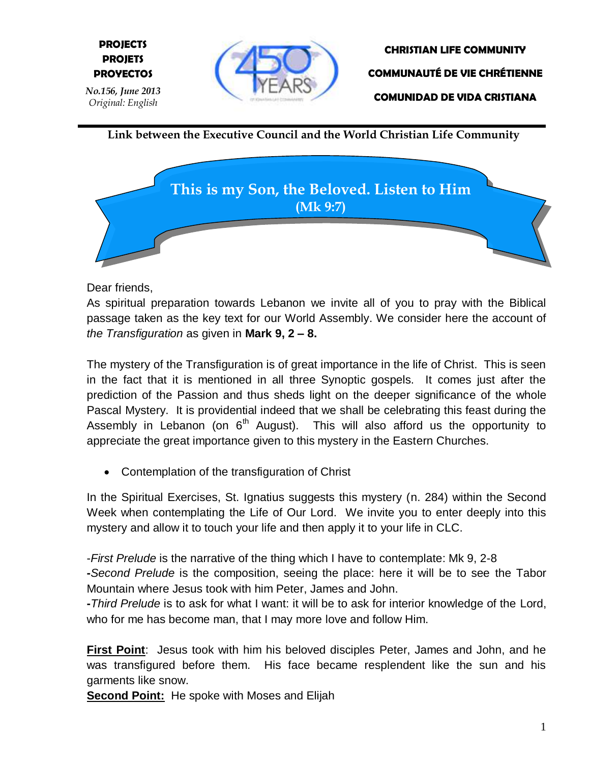

**CHRISTIAN LIFE COMMUNITY COMMUNAUTÉ DE VIE CHRÉTIENNE COMUNIDAD DE VIDA CRISTIANA**

**Link between the Executive Council and the World Christian Life Community**



Dear friends,

**E PROYECTOS**

**PROJECTS PROJETS**

As spiritual preparation towards Lebanon we invite all of you to pray with the Biblical passage taken as the key text for our World Assembly. We consider here the account of *the Transfiguration* as given in **Mark 9, 2 – 8.**

The mystery of the Transfiguration is of great importance in the life of Christ. This is seen in the fact that it is mentioned in all three Synoptic gospels. It comes just after the prediction of the Passion and thus sheds light on the deeper significance of the whole Pascal Mystery. It is providential indeed that we shall be celebrating this feast during the Assembly in Lebanon (on  $6<sup>th</sup>$  August). This will also afford us the opportunity to appreciate the great importance given to this mystery in the Eastern Churches.

Contemplation of the transfiguration of Christ

In the Spiritual Exercises, St. Ignatius suggests this mystery (n. 284) within the Second Week when contemplating the Life of Our Lord. We invite you to enter deeply into this mystery and allow it to touch your life and then apply it to your life in CLC.

-*First Prelude* is the narrative of the thing which I have to contemplate: Mk 9, 2-8

**-***Second Prelude* is the composition, seeing the place: here it will be to see the Tabor Mountain where Jesus took with him Peter, James and John.

**-***Third Prelude* is to ask for what I want: it will be to ask for interior knowledge of the Lord, who for me has become man, that I may more love and follow Him.

**First Point**: Jesus took with him his beloved disciples Peter, James and John, and he was transfigured before them. His face became resplendent like the sun and his garments like snow.

**Second Point:** He spoke with Moses and Elijah